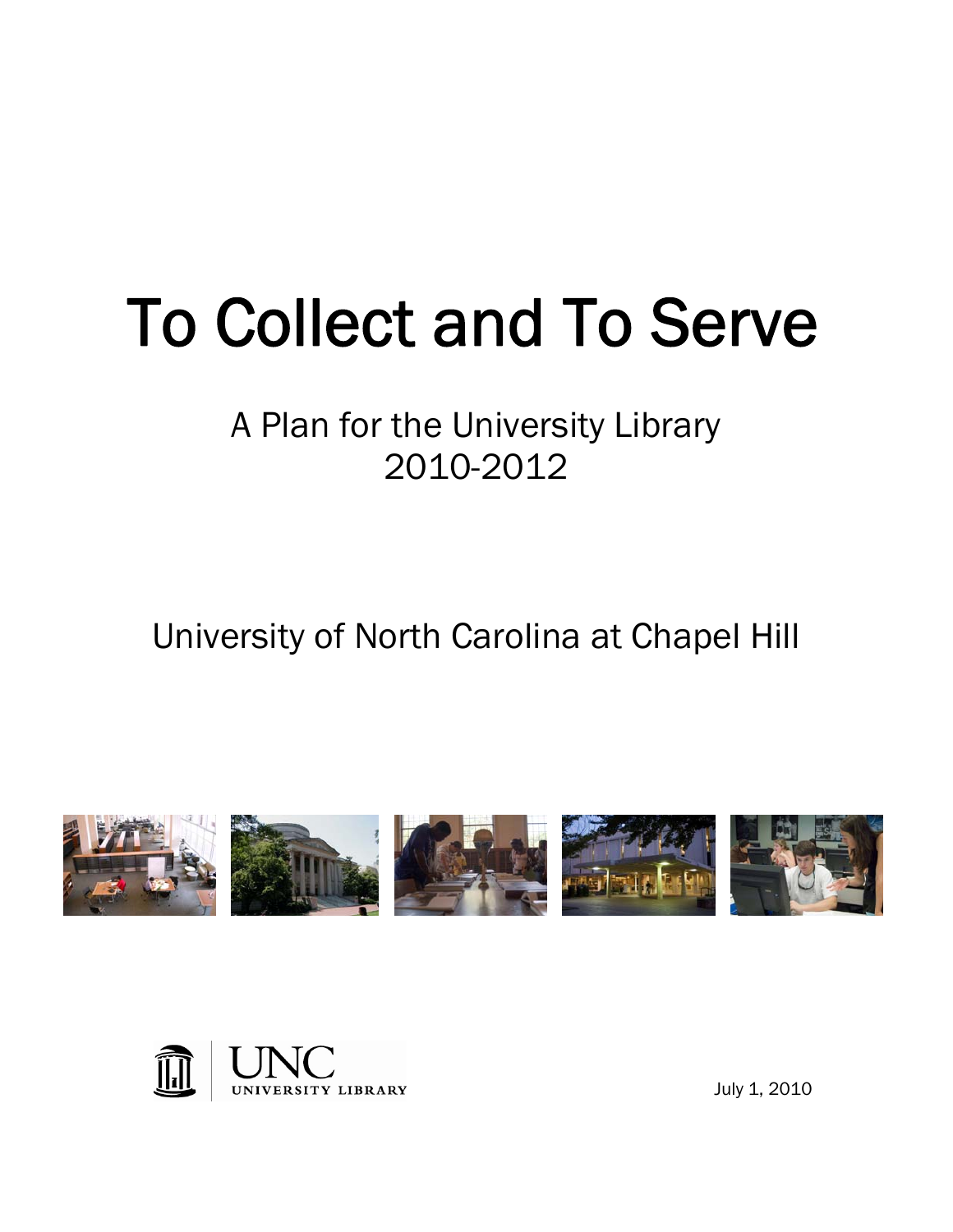# To Collect and To Serve

# A Plan for the University Library 2010-2012

University of North Carolina at Chapel Hill





July 1, 2010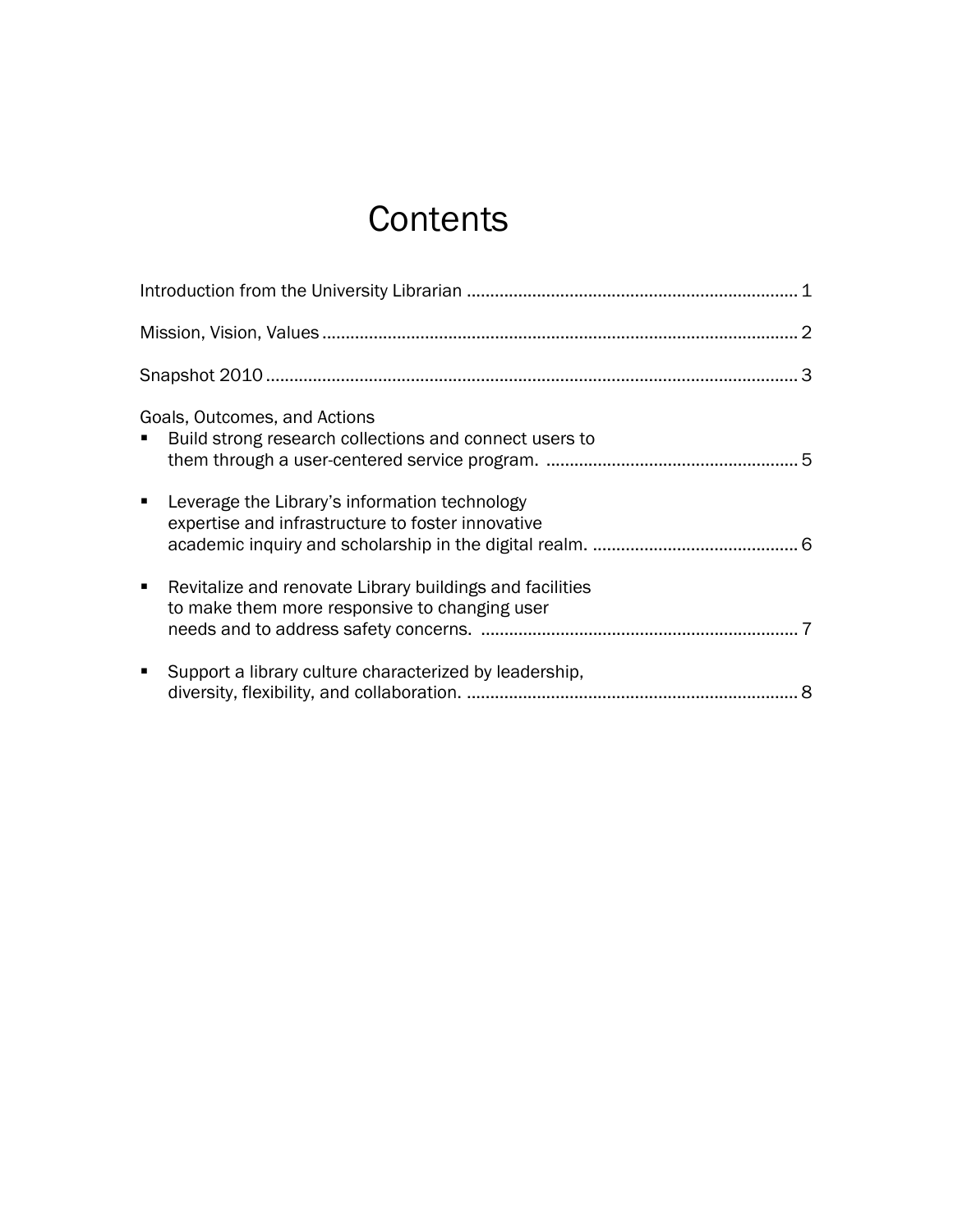### **Contents**

|                | Goals, Outcomes, and Actions<br>Build strong research collections and connect users to                    |  |
|----------------|-----------------------------------------------------------------------------------------------------------|--|
| $\blacksquare$ | Leverage the Library's information technology<br>expertise and infrastructure to foster innovative        |  |
| $\blacksquare$ | Revitalize and renovate Library buildings and facilities<br>to make them more responsive to changing user |  |
| п              | Support a library culture characterized by leadership,                                                    |  |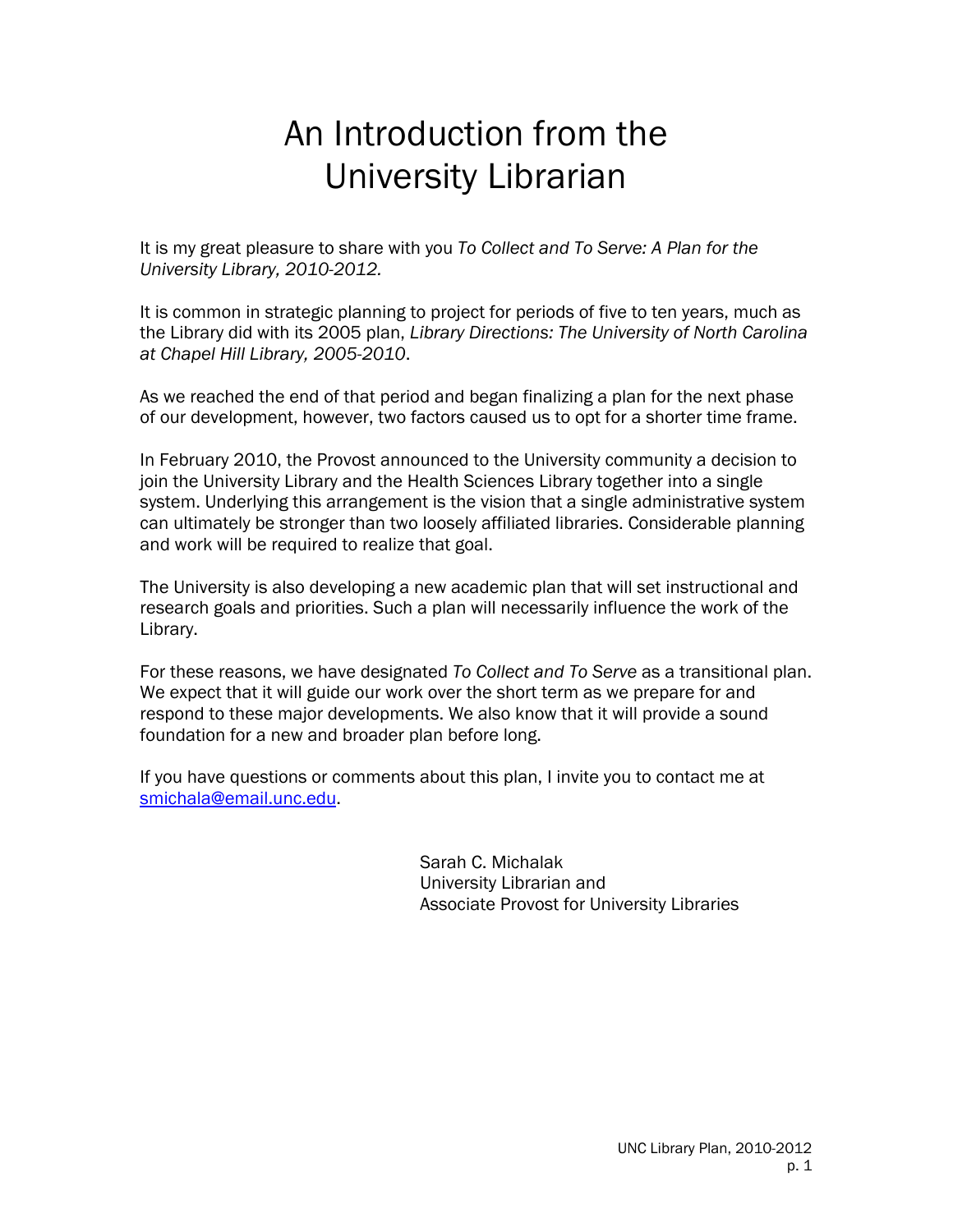### An Introduction from the University Librarian

It is my great pleasure to share with you *To Collect and To Serve: A Plan for the University Library, 2010-2012.*

It is common in strategic planning to project for periods of five to ten years, much as the Library did with its 2005 plan, *Library Directions: The University of North Carolina at Chapel Hill Library, 2005-2010*.

As we reached the end of that period and began finalizing a plan for the next phase of our development, however, two factors caused us to opt for a shorter time frame.

In February 2010, the Provost announced to the University community a decision to join the University Library and the Health Sciences Library together into a single system. Underlying this arrangement is the vision that a single administrative system can ultimately be stronger than two loosely affiliated libraries. Considerable planning and work will be required to realize that goal.

The University is also developing a new academic plan that will set instructional and research goals and priorities. Such a plan will necessarily influence the work of the Library.

For these reasons, we have designated *To Collect and To Serve* as a transitional plan. We expect that it will guide our work over the short term as we prepare for and respond to these major developments. We also know that it will provide a sound foundation for a new and broader plan before long.

If you have questions or comments about this plan, I invite you to contact me at smichala@email.unc.edu.

> Sarah C. Michalak University Librarian and Associate Provost for University Libraries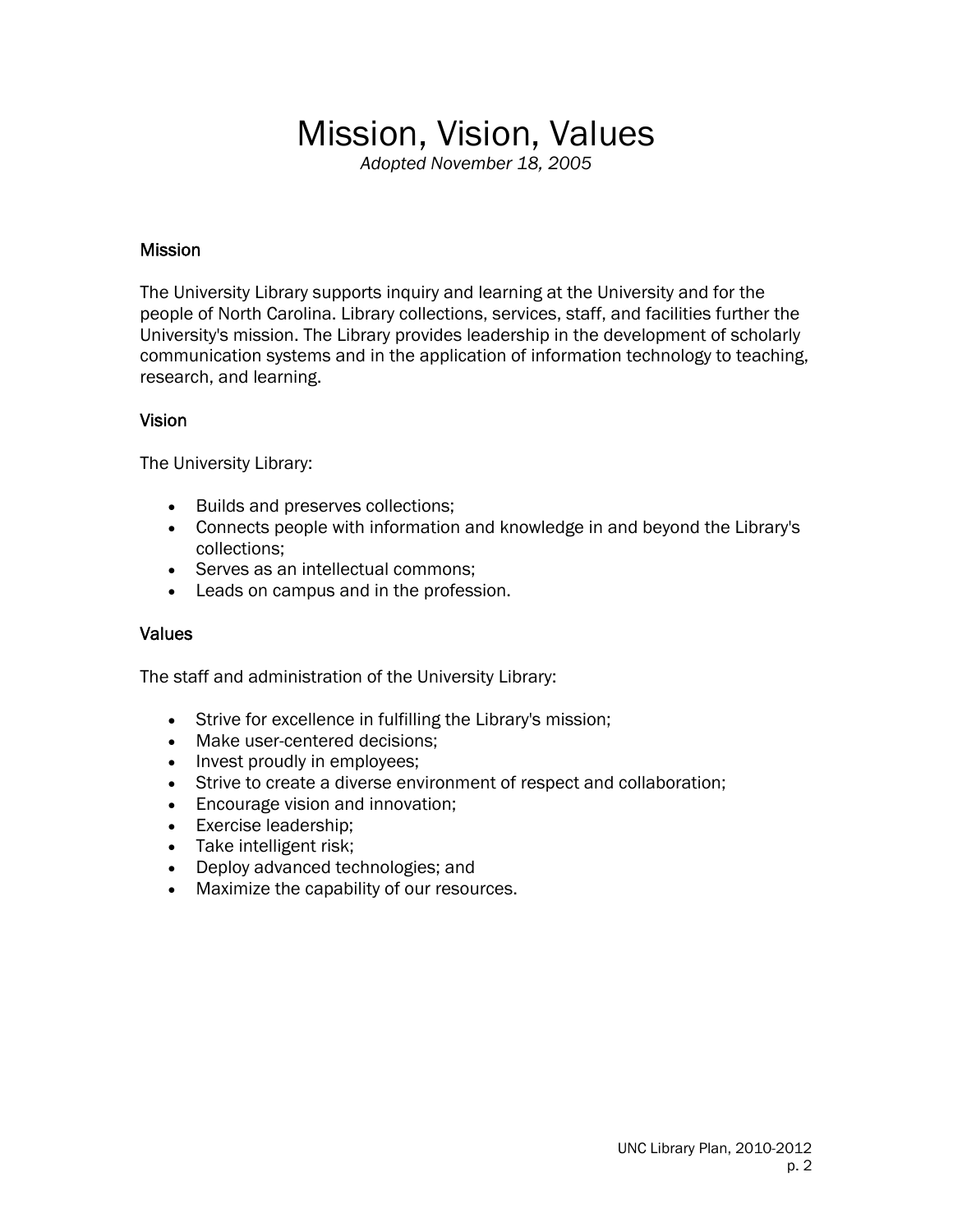### Mission, Vision, Values

*Adopted November 18, 2005*

### **Mission**

The University Library supports inquiry and learning at the University and for the people of North Carolina. Library collections, services, staff, and facilities further the University's mission. The Library provides leadership in the development of scholarly communication systems and in the application of information technology to teaching, research, and learning.

#### Vision

The University Library:

- Builds and preserves collections;
- Connects people with information and knowledge in and beyond the Library's collections;
- Serves as an intellectual commons;
- Leads on campus and in the profession.

#### Values

The staff and administration of the University Library:

- Strive for excellence in fulfilling the Library's mission;
- Make user-centered decisions;
- Invest proudly in employees;
- Strive to create a diverse environment of respect and collaboration;
- Encourage vision and innovation;
- Exercise leadership;
- Take intelligent risk;
- Deploy advanced technologies; and
- Maximize the capability of our resources.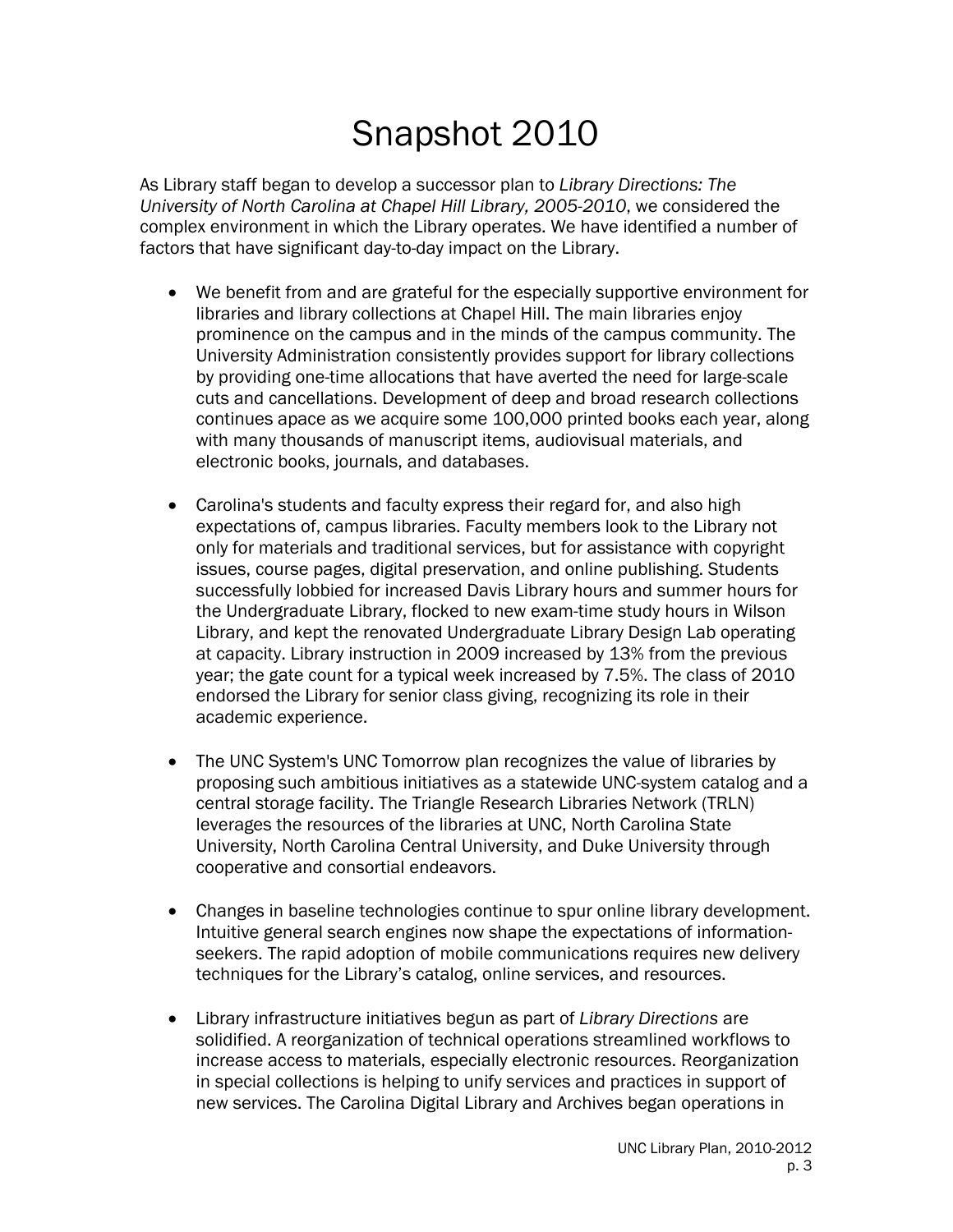# Snapshot 2010

As Library staff began to develop a successor plan to *Library Directions: The University of North Carolina at Chapel Hill Library, 2005-2010*, we considered the complex environment in which the Library operates. We have identified a number of factors that have significant day-to-day impact on the Library.

- We benefit from and are grateful for the especially supportive environment for libraries and library collections at Chapel Hill. The main libraries enjoy prominence on the campus and in the minds of the campus community. The University Administration consistently provides support for library collections by providing one-time allocations that have averted the need for large-scale cuts and cancellations. Development of deep and broad research collections continues apace as we acquire some 100,000 printed books each year, along with many thousands of manuscript items, audiovisual materials, and electronic books, journals, and databases.
- Carolina's students and faculty express their regard for, and also high expectations of, campus libraries. Faculty members look to the Library not only for materials and traditional services, but for assistance with copyright issues, course pages, digital preservation, and online publishing. Students successfully lobbied for increased Davis Library hours and summer hours for the Undergraduate Library, flocked to new exam-time study hours in Wilson Library, and kept the renovated Undergraduate Library Design Lab operating at capacity. Library instruction in 2009 increased by 13% from the previous year; the gate count for a typical week increased by 7.5%. The class of 2010 endorsed the Library for senior class giving, recognizing its role in their academic experience.
- The UNC System's UNC Tomorrow plan recognizes the value of libraries by proposing such ambitious initiatives as a statewide UNC-system catalog and a central storage facility. The Triangle Research Libraries Network (TRLN) leverages the resources of the libraries at UNC, North Carolina State University, North Carolina Central University, and Duke University through cooperative and consortial endeavors.
- Changes in baseline technologies continue to spur online library development. Intuitive general search engines now shape the expectations of informationseekers. The rapid adoption of mobile communications requires new delivery techniques for the Library's catalog, online services, and resources.
- Library infrastructure initiatives begun as part of *Library Directions* are solidified. A reorganization of technical operations streamlined workflows to increase access to materials, especially electronic resources. Reorganization in special collections is helping to unify services and practices in support of new services. The Carolina Digital Library and Archives began operations in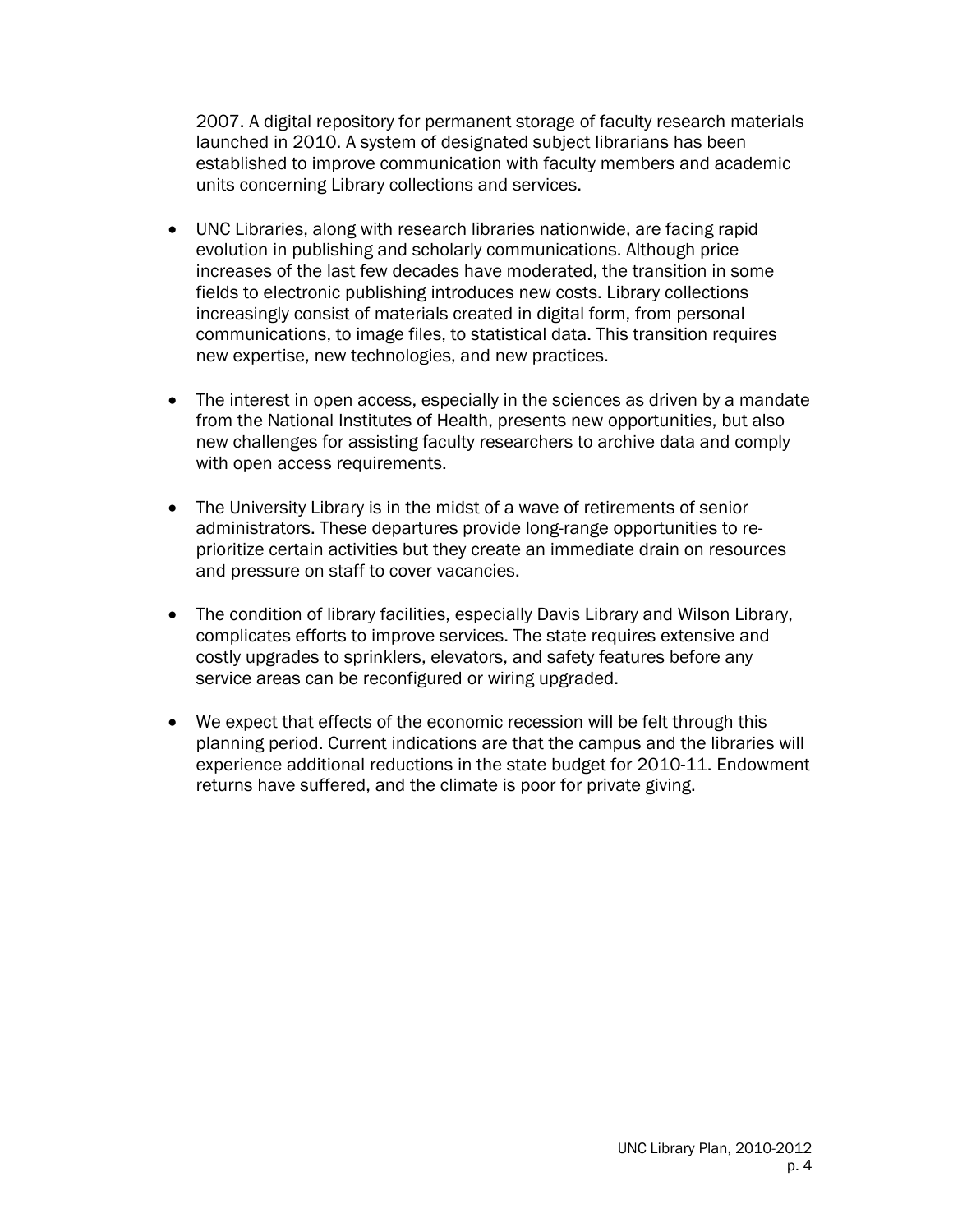2007. A digital repository for permanent storage of faculty research materials launched in 2010. A system of designated subject librarians has been established to improve communication with faculty members and academic units concerning Library collections and services.

- UNC Libraries, along with research libraries nationwide, are facing rapid evolution in publishing and scholarly communications. Although price increases of the last few decades have moderated, the transition in some fields to electronic publishing introduces new costs. Library collections increasingly consist of materials created in digital form, from personal communications, to image files, to statistical data. This transition requires new expertise, new technologies, and new practices.
- The interest in open access, especially in the sciences as driven by a mandate from the National Institutes of Health, presents new opportunities, but also new challenges for assisting faculty researchers to archive data and comply with open access requirements.
- The University Library is in the midst of a wave of retirements of senior administrators. These departures provide long-range opportunities to reprioritize certain activities but they create an immediate drain on resources and pressure on staff to cover vacancies.
- The condition of library facilities, especially Davis Library and Wilson Library, complicates efforts to improve services. The state requires extensive and costly upgrades to sprinklers, elevators, and safety features before any service areas can be reconfigured or wiring upgraded.
- We expect that effects of the economic recession will be felt through this planning period. Current indications are that the campus and the libraries will experience additional reductions in the state budget for 2010-11. Endowment returns have suffered, and the climate is poor for private giving.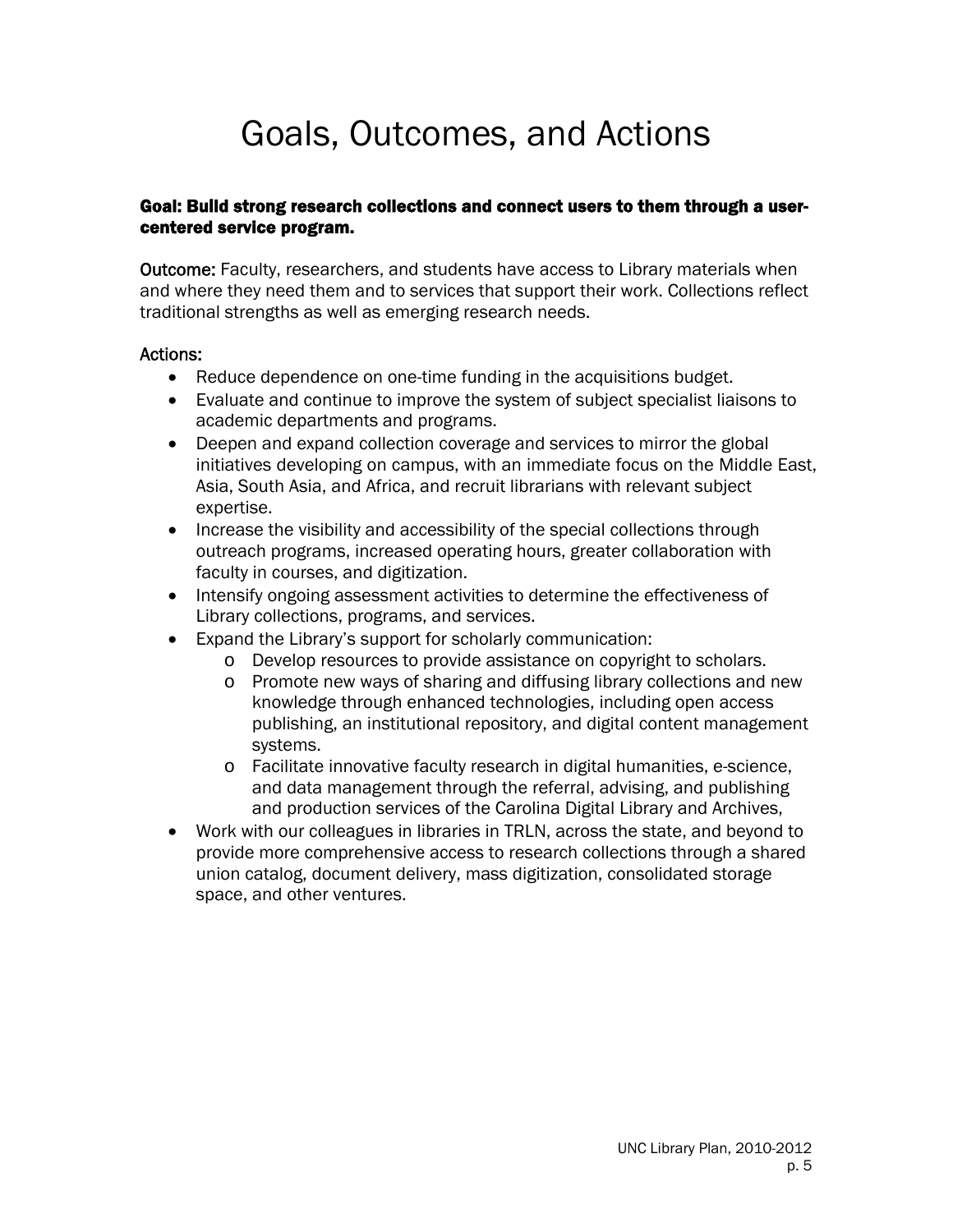# Goals, Outcomes, and Actions

### Goal: Build strong research collections and connect users to them through a usercentered service program.

Outcome: Faculty, researchers, and students have access to Library materials when and where they need them and to services that support their work. Collections reflect traditional strengths as well as emerging research needs.

- Reduce dependence on one-time funding in the acquisitions budget.
- Evaluate and continue to improve the system of subject specialist liaisons to academic departments and programs.
- Deepen and expand collection coverage and services to mirror the global initiatives developing on campus, with an immediate focus on the Middle East, Asia, South Asia, and Africa, and recruit librarians with relevant subject expertise.
- Increase the visibility and accessibility of the special collections through outreach programs, increased operating hours, greater collaboration with faculty in courses, and digitization.
- Intensify ongoing assessment activities to determine the effectiveness of Library collections, programs, and services.
- Expand the Library's support for scholarly communication:
	- o Develop resources to provide assistance on copyright to scholars.
	- o Promote new ways of sharing and diffusing library collections and new knowledge through enhanced technologies, including open access publishing, an institutional repository, and digital content management systems.
	- o Facilitate innovative faculty research in digital humanities, e-science, and data management through the referral, advising, and publishing and production services of the Carolina Digital Library and Archives,
- Work with our colleagues in libraries in TRLN, across the state, and beyond to provide more comprehensive access to research collections through a shared union catalog, document delivery, mass digitization, consolidated storage space, and other ventures.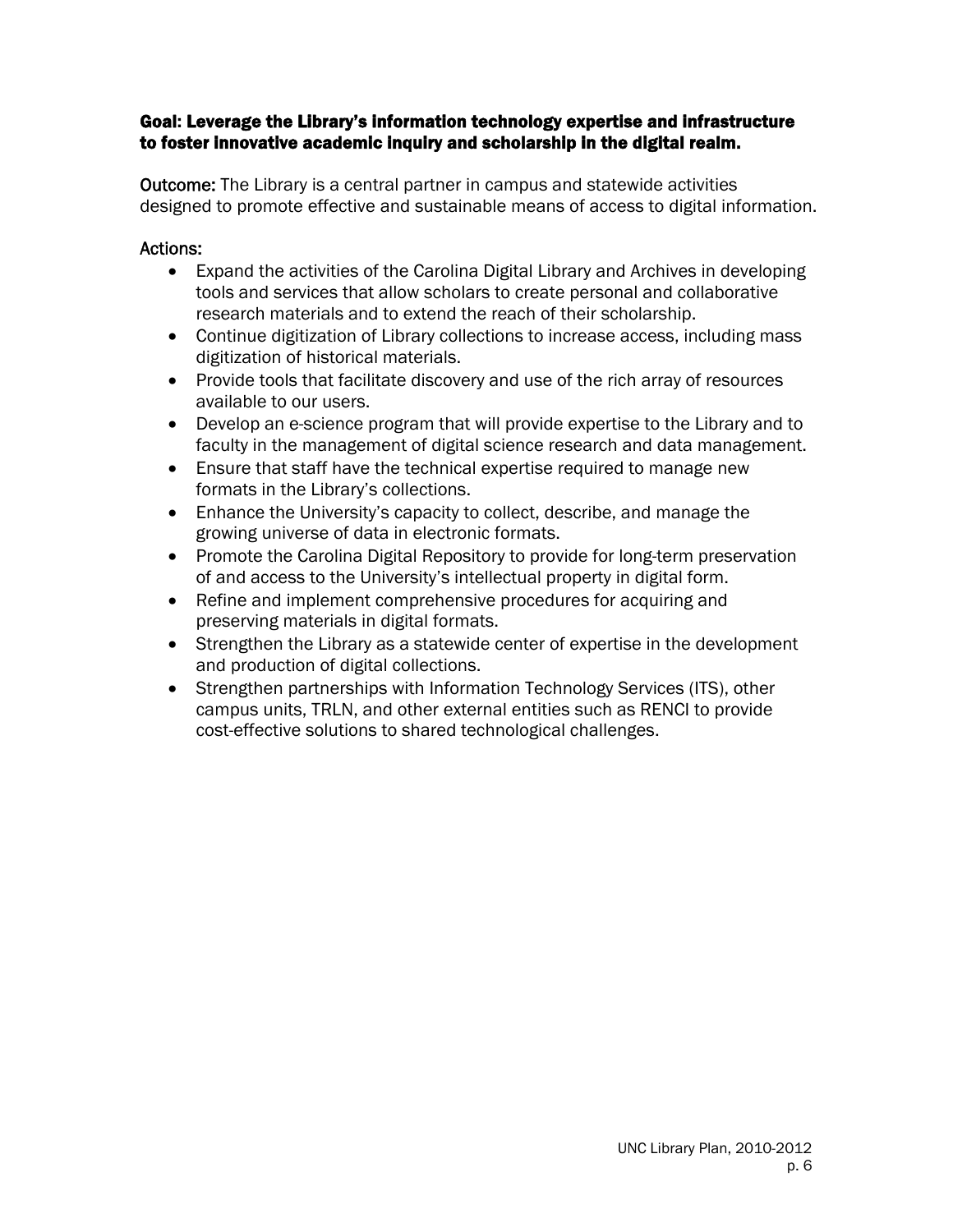### Goal: Leverage the Library's information technology expertise and infrastructure to foster innovative academic inquiry and scholarship in the digital realm.

Outcome: The Library is a central partner in campus and statewide activities designed to promote effective and sustainable means of access to digital information.

- Expand the activities of the Carolina Digital Library and Archives in developing tools and services that allow scholars to create personal and collaborative research materials and to extend the reach of their scholarship.
- Continue digitization of Library collections to increase access, including mass digitization of historical materials.
- Provide tools that facilitate discovery and use of the rich array of resources available to our users.
- Develop an e-science program that will provide expertise to the Library and to faculty in the management of digital science research and data management.
- Ensure that staff have the technical expertise required to manage new formats in the Library's collections.
- Enhance the University's capacity to collect, describe, and manage the growing universe of data in electronic formats.
- Promote the Carolina Digital Repository to provide for long-term preservation of and access to the University's intellectual property in digital form.
- Refine and implement comprehensive procedures for acquiring and preserving materials in digital formats.
- Strengthen the Library as a statewide center of expertise in the development and production of digital collections.
- Strengthen partnerships with Information Technology Services (ITS), other campus units, TRLN, and other external entities such as RENCI to provide cost-effective solutions to shared technological challenges.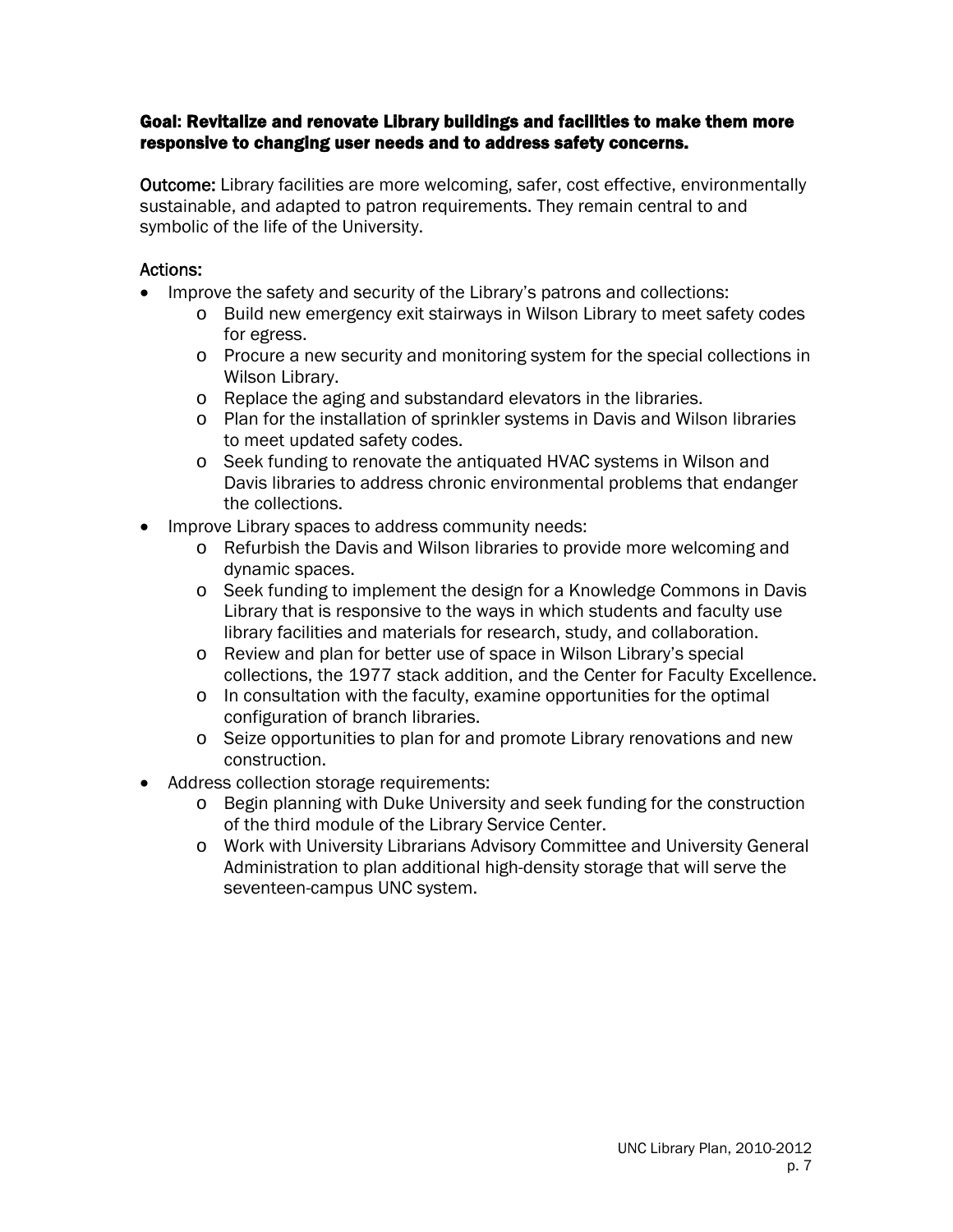### Goal: Revitalize and renovate Library buildings and facilities to make them more responsive to changing user needs and to address safety concerns.

**Outcome:** Library facilities are more welcoming, safer, cost effective, environmentally sustainable, and adapted to patron requirements. They remain central to and symbolic of the life of the University.

- Improve the safety and security of the Library's patrons and collections:
	- o Build new emergency exit stairways in Wilson Library to meet safety codes for egress.
	- o Procure a new security and monitoring system for the special collections in Wilson Library.
	- o Replace the aging and substandard elevators in the libraries.
	- o Plan for the installation of sprinkler systems in Davis and Wilson libraries to meet updated safety codes.
	- o Seek funding to renovate the antiquated HVAC systems in Wilson and Davis libraries to address chronic environmental problems that endanger the collections.
- Improve Library spaces to address community needs:
	- o Refurbish the Davis and Wilson libraries to provide more welcoming and dynamic spaces.
	- o Seek funding to implement the design for a Knowledge Commons in Davis Library that is responsive to the ways in which students and faculty use library facilities and materials for research, study, and collaboration.
	- o Review and plan for better use of space in Wilson Library's special collections, the 1977 stack addition, and the Center for Faculty Excellence.
	- o In consultation with the faculty, examine opportunities for the optimal configuration of branch libraries.
	- o Seize opportunities to plan for and promote Library renovations and new construction.
- Address collection storage requirements:
	- o Begin planning with Duke University and seek funding for the construction of the third module of the Library Service Center.
	- o Work with University Librarians Advisory Committee and University General Administration to plan additional high-density storage that will serve the seventeen-campus UNC system.